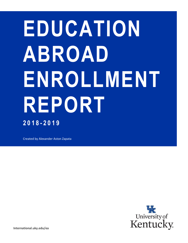# **EDUCATION ABROAD ENROLLMENT REPORT 2018 - 2019**

Created by Alexander Aston Zapata

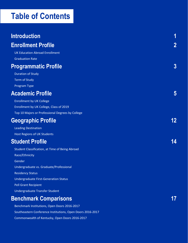## **Table of Contents**

| <b>Introduction</b>                              | 1        |
|--------------------------------------------------|----------|
| <b>Enrollment Profile</b>                        | $\bf{2}$ |
| <b>UK Education Abroad Enrollment</b>            |          |
| <b>Graduation Rate</b>                           |          |
| <b>Programmatic Profile</b>                      | $\bf{3}$ |
| <b>Duration of Study</b>                         |          |
| <b>Term of Study</b>                             |          |
| Program Type                                     |          |
| <b>Academic Profile</b>                          | 5        |
| <b>Enrollment by UK College</b>                  |          |
| Enrollment by UK College, Class of 2019          |          |
| Top 10 Majors or Professional Degrees by College |          |
| <b>Geographic Profile</b>                        | 12       |
| <b>Leading Destination</b>                       |          |
| Host Regions of UK Students                      |          |
| <b>Student Profile</b>                           | 14       |
| Student Classification, at Time of Being Abroad  |          |
| Race/Ethnicity                                   |          |
| Gender                                           |          |
| Undergraduate vs. Graduate/Professional          |          |
| <b>Residency Status</b>                          |          |
| <b>Undergraduate First-Generation Status</b>     |          |
| <b>Pell Grant Recipient</b>                      |          |
| Undergraduate Transfer Student                   |          |
| <b>Benchmark Comparisons</b>                     | 17       |
| Benchmark Institutions, Open Doors 2016-2017     |          |

[Southeastern Conference Institutions, Open Doors 2016-2017](#page-19-0)

[Commonwealth of Kentucky, Open Doors 2016-2017](#page-20-0)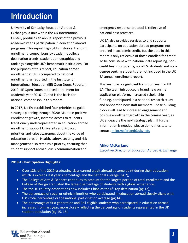## <span id="page-2-0"></span>**Introduction**

University of Kentucky Education Abroad & Exchanges, a unit within the UK International Center, produces an annual report of the previous academic year's participation in education abroad programs. This report highlights historical trends in enrollment, comparisons by academic college, destination trends, student demographics and rankings alongside UK's benchmark institutions. For the purposes of this report, education abroad enrollment at UK is compared to national enrollment, as reported in the Institute for International Education (IIE) Open Doors Report. In 2019, IIE Open Doors reported enrollment for academic year 2016-17, and is the basis for national comparison in this report.

In 2017, UK EA established four priorities to guide strategic planning through 2020: Maintain positive enrollment growth, increase access to students traditionally underrepresented in education abroad enrollment, support University and Provost priorities and raise awareness about the value of education abroad. Health, safety, security and risk management also remains a priority, ensuring that student support abroad, crisis communication and

emergency response protocol is reflective of national best practices.

UK EA also provides services to and supports participants on education abroad programs not enrolled in academic credit, but the data in this report is only reflective of those enrolled for-credit. To be consistent with national data reporting, noncredit bearing students, non-U.S. students and nondegree seeking students are not included in the UK EA annual enrollment report.

This year was a significant transition year for UK EA. The team introduced a brand new online application platform, increased scholarship funding, participated in a national research study and onboarded new staff members. These building blocks will lead to increased engagement and positive enrollment growth in the coming year, as UK endeavors the next strategic plan. If further information is needed, please do not hesitate to contact [miko.mcfarland@uky.edu](mailto:miko.mcfarland@uky.edu) 

#### **Miko McFarland**

Executive Director of Education Abroad & Exchange

#### **2018-19 Participation Highlights**:

- Over 18% of the 2019 graduating class earned credit abroad at some point during their education, which is exceeds last year's percentage and the national average (pg 2);
- The College of Arts & Sciences continues to account for the largest portion of total enrollment and the College of Design graduated the largest percentage of students with a global experience;
- The top 10 country destinations now includes China as the  $6<sup>th</sup>$  top destination (pg 12);
- The percentage of racial or ethnic minorities who participated in education abroad closely aligns with UK's total percentage or the national participation average (pg 14).
- The percentage of first generation and Pell eligible students who participated in education abroad increased from last year, more closely reflecting the percentage of students represented in the UK student population (pg 15, 16).

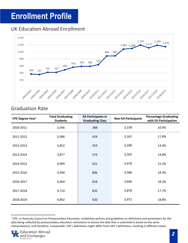## <span id="page-3-0"></span>**Enrollment Profile**

#### <span id="page-3-1"></span>UK Education Abroad Enrollment



#### <span id="page-3-2"></span>Graduation Rate

| CPE Degree Year <sup>1</sup> | <b>Total Graduating</b><br><b>Students</b> | <b>EA Participants in</b><br><b>Graduating Class</b> | <b>Non-EA Participants</b> | <b>Percentage Graduating</b><br>with EA Participation |
|------------------------------|--------------------------------------------|------------------------------------------------------|----------------------------|-------------------------------------------------------|
| 2010-2011                    | 3,546                                      | 388                                                  | 3,158                      | 10.9%                                                 |
| 2011-2012                    | 3,586                                      | 424                                                  | 3,162                      | 11.8%                                                 |
| 2012-2013                    | 3,852                                      | 554                                                  | 3,298                      | 14.4%                                                 |
| 2013-2014                    | 3,877                                      | 574                                                  | 3,303                      | 14.8%                                                 |
| 2014-2015                    | 4,099                                      | 621                                                  | 3,478                      | 15.2%                                                 |
| 2015-2016                    | 4,394                                      | 806                                                  | 3,588                      | 18.3%                                                 |
| 2016-2017                    | 4,464                                      | 818                                                  | 3,646                      | 18.3%                                                 |
| 2017-2018                    | 4,710                                      | 832                                                  | 3,878                      | 17.7%                                                 |
| 2018-2019                    | 4,892                                      | 920                                                  | 3,972                      | 18.8%                                                 |

<span id="page-3-3"></span><sup>&</sup>lt;sup>1</sup> CPE, or Kentucky Council on Postsecondary Education, establishes policies and guidelines on definitions and parameters for the data being collected by postsecondary education institutions to ensure the data that is submitted is based on the same interpretations, and therefore, comparable. CPE's definitions might differ from UKY's definitions, resulting in different totals.

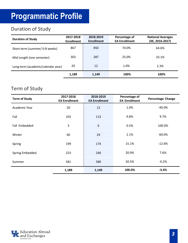# <span id="page-4-0"></span>**Programmatic Profile**

## <span id="page-4-1"></span>Duration of Study

| <b>Duration of Study</b>           | 2017-2018<br><b>Enrollment</b> | 2018-2019<br><b>Enrollment</b> | Percentage of<br><b>EA Enrollment</b> | <b>National Averages</b><br>(IIE, 2016-2017) |
|------------------------------------|--------------------------------|--------------------------------|---------------------------------------|----------------------------------------------|
| Short-term (summer/ 0-8 weeks)     | 867                            | 850                            | 74.0%                                 | 64.6%                                        |
| Mid-Length (one semester)          | 302                            | 287                            | 25.0%                                 | 33.1%                                        |
| Long-term (academic/calendar year) | 20                             | 12                             | 1.0%                                  | 2.3%                                         |
|                                    | .189                           | 1.149                          | 100%                                  | 1በበ%                                         |

#### <span id="page-4-2"></span>Term of Study

| <b>Term of Study</b> | 2017-2018<br><b>EA Enrollment</b> | 2018-2019<br><b>EA Enrollment</b> | Percentage of<br><b>EA Enrollment</b> | <b>Percentage Change</b> |
|----------------------|-----------------------------------|-----------------------------------|---------------------------------------|--------------------------|
| Academic Year        | 20                                | 12                                | 1.0%                                  | $-40.0%$                 |
| Fall                 | 103                               | 113                               | 9.8%                                  | 9.7%                     |
| Fall Embedded        | 3                                 | 6                                 | 0.5%                                  | 100.0%                   |
| Winter               | 60                                | 24                                | 2.1%                                  | $-60.0%$                 |
| Spring               | 199                               | 174                               | 15.1%                                 | $-12.6%$                 |
| Spring Embedded      | 223                               | 240                               | 20.9%                                 | 7.6%                     |
| Summer               | 581                               | 580                               | 50.5%                                 | $-0.2%$                  |
|                      | 1,189                             | 1,149                             | 100.0%                                | $-3.4%$                  |

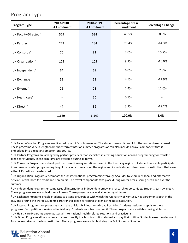#### <span id="page-5-0"></span>Program Type

| <b>Program Type</b>              | 2017-2018<br><b>EA Enrollment</b> | 2018-2019<br><b>EA Enrollment</b> | <b>Percentage of EA</b><br><b>Enrollment</b> | <b>Percentage Change</b> |
|----------------------------------|-----------------------------------|-----------------------------------|----------------------------------------------|--------------------------|
| UK Faculty-Directed <sup>2</sup> | 529                               | 534                               | 46.5%                                        | 0.9%                     |
| UK Partner <sup>3</sup>          | 273                               | 234                               | 20.4%                                        | $-14.3%$                 |
| UK Consortia <sup>4</sup>        | 70                                | 81                                | 7.0%                                         | 15.7%                    |
| UK Organization <sup>5</sup>     | 125                               | 105                               | 9.1%                                         | $-16.0\%$                |
| UK Independent <sup>6</sup>      | 64                                | 69                                | 6.0%                                         | 7.8%                     |
| UK Exchange <sup>7</sup>         | 59                                | 52                                | 4.5%                                         | $-11.9%$                 |
| UK External <sup>8</sup>         | 25                                | 28                                | 2.4%                                         | 12.0%                    |
| UK Healthcare <sup>9</sup>       |                                   | 10                                | 0.9%                                         |                          |
| UK Direct <sup>10</sup>          | 44                                | 36                                | 3.1%                                         | $-18.2%$                 |
|                                  | 1,189                             | 1,149                             | 100.0%                                       | $-3.4%$                  |

<span id="page-5-5"></span><sup>6</sup> UK Independent Programs encompasses all international independent study and research opportunities. Students earn UK credit. These programs are available during all terms. These programs are available during all terms.

<span id="page-5-6"></span> $7$  UK Exchange Programs enable students to attend universities with which the University of Kentucky has agreements both in the U.S. and around the world. Students earn transfer credit for courses taken at the host institution.

<sup>9</sup> UK Healthcare Programs encompasses all international health-related rotations and practicums.

<span id="page-5-9"></span><span id="page-5-8"></span><sup>&</sup>lt;sup>10</sup> UK Direct Programs allow students to enroll directly in a host institution abroad and pay their tuition. Students earn transfer credit for courses taken at the host institution. These programs are available during the Fall, Spring or Summer.



<span id="page-5-1"></span> $2$  UK Faculty-Directed Programs are directed by a UK Faculty member. The students earn UK credit for the courses taken abroad. These programs vary in length from short-term winter or summer programs or can also include a travel component that is embedded into a regular, semester-long course.

<span id="page-5-2"></span><sup>&</sup>lt;sup>3</sup> UK Partner Programs are arranged by partner providers that specialize in creating education abroad programming for transfer credit for students. These programs are available during all terms.

<span id="page-5-3"></span><sup>&</sup>lt;sup>4</sup> UK Consortia Programs are developed by consortium organizations based in the Kentucky region. UK students are able participate in summer or winter programming taught by faculty from around the region and include students from nearby institutions that earn either UK credit or transfer credit.

<span id="page-5-4"></span><sup>5</sup> UK Organization Programs encompass the UK international programming through Shoulder to Shoulder Global and Alternative Service Breaks, both for-credit and non-credit. The travel components take place during winter break, spring break and over the summer.

<span id="page-5-7"></span><sup>&</sup>lt;sup>8</sup> UK External Programs are programs not in the official UK Education Abroad Portfolio. Students petition to apply to these programs. Each petition is reviewed individually. Students earn transfer credit. These programs are available during all terms.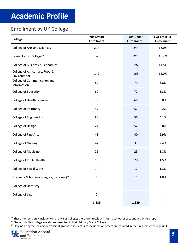## <span id="page-6-0"></span>**Academic Profile**

#### <span id="page-6-1"></span>Enrollment by UK College

| <b>College</b>                                      | 2017-2018<br><b>Enrollment</b> | 2018-2019<br>Enrollment <sup>11</sup> | % of Total EA<br><b>Enrollment</b> |
|-----------------------------------------------------|--------------------------------|---------------------------------------|------------------------------------|
| <b>College of Arts and Sciences</b>                 | 294                            | 244                                   | 18.0%                              |
| Lewis Honors College <sup>12</sup>                  |                                | 223                                   | 16.4%                              |
| College of Business & Economics                     | 196                            | 197                                   | 14.5%                              |
| College of Agriculture, Food &<br>Environment       | 149                            | 163                                   | 12.0%                              |
| College of Communication and<br>Information         | 89                             | 79                                    | 5.8%                               |
| College of Education                                | 62                             | 72                                    | 5.3%                               |
| <b>College of Health Sciences</b>                   | 79                             | 68                                    | 5.0%                               |
| College of Pharmacy                                 | 57                             | 57                                    | 4.2%                               |
| <b>College of Engineering</b>                       | 80                             | 56                                    | 4.1%                               |
| College of Design                                   | 24                             | 52                                    | 3.8%                               |
| College of Fine Arts                                | 43                             | 40                                    | 2.9%                               |
| <b>College of Nursing</b>                           | 42                             | 33                                    | 2.4%                               |
| College of Medicine                                 | 25                             | 25                                    | 1.8%                               |
| College of Public Health                            | 18                             | 20                                    | 1.5%                               |
| <b>College of Social Work</b>                       | 14                             | 17                                    | 1.3%                               |
| Graduate School(non-degree/transient) <sup>13</sup> | $\overline{2}$                 | 13                                    | 1.0%                               |
| College of Dentistry                                | 13                             |                                       |                                    |
| College of Law                                      | 2                              |                                       |                                    |
|                                                     | 1,189                          | 1,359                                 |                                    |

<span id="page-6-2"></span><sup>&</sup>lt;sup>11</sup> These numbers only include Primary Major College; therefore, totals will not match other sections within this report.

<span id="page-6-4"></span><span id="page-6-3"></span><sup>&</sup>lt;sup>13</sup> Only non-degree seeking or transient graduate students are included. All others are counted in their respective college units.



<sup>&</sup>lt;sup>12</sup> Students in this college are also represented in their Primary Major College.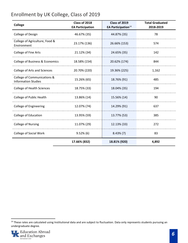#### <span id="page-7-0"></span>Enrollment by UK College, Class of 2019

| College                                                   | Class of 2018<br><b>EA Participation</b> | Class of 2019<br><b>EA Participation</b> <sup>14</sup> | <b>Total Graduated</b><br>2018-2019 |
|-----------------------------------------------------------|------------------------------------------|--------------------------------------------------------|-------------------------------------|
| College of Design                                         | 46.67% (35)                              | 44.87% (35)                                            | 78                                  |
| College of Agriculture, Food &<br>Environment             | 23.17% (136)                             | 26.66% (153)                                           | 574                                 |
| College of Fine Arts                                      | 21.12% (34)                              | 24.65% (35)                                            | 142                                 |
| College of Business & Economics                           | 18.58% (154)                             | 20.62% (174)                                           | 844                                 |
| <b>College of Arts and Sciences</b>                       | 20.70% (220)                             | 19.36% (225)                                           | 1,162                               |
| College of Communications &<br><b>Information Studies</b> | 15.26% (65)                              | 18.76% (91)                                            | 485                                 |
| <b>College of Health Sciences</b>                         | 18.75% (33)                              | 18.04% (35)                                            | 194                                 |
| College of Public Health                                  | 13.86% (14)                              | 15.56% (14)                                            | 90                                  |
| <b>College of Engineering</b>                             | 12.07% (74)                              | 14.29% (91)                                            | 637                                 |
| College of Education                                      | 13.95% (59)                              | 13.77% (53)                                            | 385                                 |
| <b>College of Nursing</b>                                 | 11.07% (29)                              | 12.13% (33)                                            | 272                                 |
| <b>College of Social Work</b>                             | $9.52\%$ (6)                             | $8.43\%$ (7)                                           | 83                                  |
|                                                           | 17.66% (832)                             | 18.81% (920)                                           | 4,892                               |

<span id="page-7-1"></span><sup>&</sup>lt;sup>14</sup> These rates are calculated using Institutional data and are subject to fluctuation. Data only represents students pursuing an undergraduate degree.

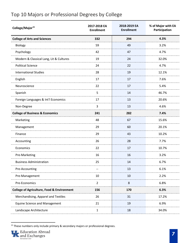#### <span id="page-8-0"></span>Top 10 Majors or Professional Degrees by College

| College/Major <sup>15</sup>                           | 2017-2018 EA<br><b>Enrollment</b> | 2018-2019 EA<br><b>Enrollment</b> | % of Major with EA<br>Participation |
|-------------------------------------------------------|-----------------------------------|-----------------------------------|-------------------------------------|
| <b>College of Arts and Sciences</b>                   | 332                               | 294                               | 4.3%                                |
| Biology                                               | 59                                | 49                                | 3.2%                                |
| Psychology                                            | 42                                | 47                                | 4.7%                                |
| Modern & Classical Lang, Lit & Cultures               | 19                                | 24                                | 32.0%                               |
| <b>Political Science</b>                              | 24                                | 22                                | 4.7%                                |
| <b>International Studies</b>                          | 28                                | 19                                | 12.1%                               |
| English                                               | 17                                | 17                                | 7.6%                                |
| Neuroscience                                          | 22                                | 17                                | 5.4%                                |
| Spanish                                               | 5                                 | 14                                | 46.7%                               |
| Foreign Languages & Int'l Economics                   | 17                                | 13                                | 20.6%                               |
| Non-Degree                                            | 3                                 | 13                                | 4.6%                                |
| <b>College of Business &amp; Economics</b>            | 241                               | 282                               | 7.4%                                |
| Marketing                                             | 48                                | 67                                | 15.6%                               |
| Management                                            | 29                                | 60                                | 20.1%                               |
| Finance                                               | 29                                | 43                                | 10.2%                               |
| Accounting                                            | 26                                | 28                                | 7.7%                                |
| Economics                                             | 22                                | 17                                | 10.7%                               |
| Pre-Marketing                                         | 16                                | 16                                | 3.2%                                |
| <b>Business Administration</b>                        | 25                                | 14                                | 6.7%                                |
| Pre-Accounting                                        | --                                | 13                                | 6.1%                                |
| Pre-Management                                        | 10                                | 10                                | 2.2%                                |
| Pre-Economics                                         | $\overline{2}$                    | 8                                 | 6.8%                                |
| <b>College of Agriculture, Food &amp; Environment</b> | 156                               | 170                               | 6.3%                                |
| Merchandising, Apparel and Textiles                   | 26                                | 31                                | 17.2%                               |
| <b>Equine Science and Management</b>                  | 21                                | 19                                | 6.9%                                |
| Landscape Architecture                                | $\mathbf{1}$                      | 18                                | 34.0%                               |

<sup>&</sup>lt;sup>15</sup> These numbers only include primary & secondary majors or professional degrees.

<span id="page-8-1"></span>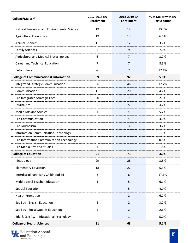| College/Major <sup>15</sup>                       | 2017-2018 EA<br><b>Enrollment</b> | 2018-2019 EA<br><b>Enrollment</b> | % of Major with EA<br>Participation |
|---------------------------------------------------|-----------------------------------|-----------------------------------|-------------------------------------|
| Natural Resources and Environmental Science       | 19                                | 14                                | 13.0%                               |
| <b>Agricultural Economics</b>                     | 19                                | 13                                | 6.6%                                |
| <b>Animal Sciences</b>                            | 11                                | 12                                | 3.7%                                |
| <b>Family Sciences</b>                            | 6                                 | 9                                 | 7.0%                                |
| Agricultural and Medical Biotechnology            | 6                                 | 7                                 | 3.2%                                |
| <b>Career and Technical Education</b>             | 7                                 | 7                                 | 8.3%                                |
| Entomology                                        |                                   | 7                                 | 17.1%                               |
| <b>College of Communication &amp; Information</b> | 99                                | 92                                | 5.0%                                |
| Integrated Strategic Communication                | 36                                | 46                                | 17.7%                               |
| Communication                                     | 11                                | 20                                | 4.7%                                |
| Pre-Integrated Strategic Com                      | 20                                | 7                                 | 2.5%                                |
| Journalism                                        | 5                                 | 5                                 | 4.7%                                |
| <b>Media Arts and Studies</b>                     | $\mathbf{1}$                      | $\overline{4}$                    | 5.7%                                |
| Pre-Communication                                 | $\overline{\phantom{m}}$          | $\overline{4}$                    | 3.0%                                |
| Pre-Journalism                                    | 5                                 | 3                                 | 3.2%                                |
| Information Communication Technology              | 2                                 | $\mathbf{1}$                      | 1.3%                                |
| Pre-Information Communication Technology          | $-$                               | $\mathbf{1}$                      | 0.8%                                |
| Pre-Media Arts and Studies                        | 1                                 | $\mathbf{1}$                      | 1.8%                                |
| <b>College of Education</b>                       | 91                                | 73                                | 3.0%                                |
| Kinesiology                                       | 29                                | 28                                | 3.5%                                |
| <b>Elementary Education</b>                       | 18                                | 22                                | 5.3%                                |
| Interdisciplinary Early Childhood Ed              | $\overline{2}$                    | $6\phantom{1}6$                   | 17.1%                               |
| Middle Level Teacher Education                    | 4                                 | 5                                 | 6.1%                                |
| <b>Special Education</b>                          | $\overline{\phantom{m}}$          | 5                                 | 4.0%                                |
| <b>Health Promotion</b>                           | $\overline{\phantom{a}}$          | $\overline{2}$                    | 6.7%                                |
| Sec Edu - English Education                       | 4                                 | $\overline{2}$                    | 3.7%                                |
| Sec Edu - Social Studies Education                | $\mathbf{1}$                      | $\overline{2}$                    | 2.6%                                |
| Edu & Cslg Psy - Educational Psychology           | $- \, -$                          | $\mathbf{1}$                      | 5.0%                                |
| <b>College of Health Sciences</b>                 | 81                                | 68                                | 5.1%                                |

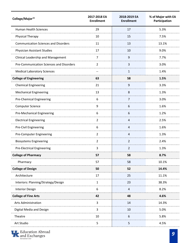| College/Major <sup>15</sup>                 | 2017-2018 EA<br><b>Enrollment</b> | 2018-2019 EA<br><b>Enrollment</b> | % of Major with EA<br>Participation |
|---------------------------------------------|-----------------------------------|-----------------------------------|-------------------------------------|
| <b>Human Health Sciences</b>                | 29                                | 17                                | 5.3%                                |
| <b>Physical Therapy</b>                     | 10                                | 15                                | 7.5%                                |
| <b>Communication Sciences and Disorders</b> | 11                                | 13                                | 13.1%                               |
| <b>Physician Assistant Studies</b>          | 17                                | 10                                | 9.0%                                |
| Clinical Leadership and Management          | 7                                 | 9                                 | 7.7%                                |
| Pre-Communication Sciences and Disorders    | $\overline{2}$                    | 3                                 | 3.0%                                |
| <b>Medical Laboratory Sciences</b>          | --                                | $\mathbf{1}$                      | 1.4%                                |
| <b>College of Engineering</b>               | 63                                | 58                                | 1.5%                                |
| <b>Chemical Engineering</b>                 | 21                                | 9                                 | 3.3%                                |
| <b>Mechanical Engineering</b>               | 13                                | 8                                 | 1.3%                                |
| <b>Pre-Chemical Engineering</b>             | 6                                 | $\overline{7}$                    | 3.0%                                |
| <b>Computer Science</b>                     | 9                                 | 6                                 | 1.6%                                |
| Pre-Mechanical Engineering                  | 6                                 | 6                                 | 1.2%                                |
| <b>Electrical Engineering</b>               | $\overline{2}$                    | 4                                 | 2.5%                                |
| <b>Pre-Civil Engineering</b>                | 6                                 | 4                                 | 1.6%                                |
| Pre-Computer Engineering                    | $\overline{2}$                    | 4                                 | 1.3%                                |
| <b>Biosystems Engineering</b>               | $\overline{2}$                    | $\overline{2}$                    | 2.4%                                |
| <b>Pre-Electrical Engineering</b>           | 3                                 | $\overline{2}$                    | 1.3%                                |
| <b>College of Pharmacy</b>                  | 57                                | 58                                | 8.7%                                |
| Pharmacy                                    | 57                                | 58                                | 10.1%                               |
| <b>College of Design</b>                    | 50                                | 52                                | 14.4%                               |
| Architecture                                | 17                                | 25                                | 11.1%                               |
| Interiors: Planning/Strategy/Design         | $\mathbf{1}$                      | 23                                | 38.3%                               |
| <b>Interior Design</b>                      | 6                                 | $\overline{a}$                    | 8.2%                                |
| <b>College of Fine Arts</b>                 | 42                                | 48                                | 4.6%                                |
| <b>Arts Administration</b>                  | 3                                 | 14                                | 14.3%                               |
| Digital Media and Design                    | 3                                 | 10                                | 5.0%                                |
| Theatre                                     | 10                                | 6                                 | 5.8%                                |
| Art Studio                                  | 5                                 | 5                                 | 4.5%                                |

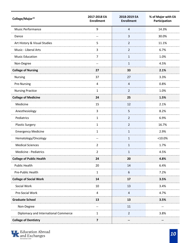| College/Major <sup>15</sup>          | 2017-2018 EA<br><b>Enrollment</b> | 2018-2019 EA<br><b>Enrollment</b> | % of Major with EA<br>Participation |
|--------------------------------------|-----------------------------------|-----------------------------------|-------------------------------------|
| <b>Music Performance</b>             | 9                                 | $\overline{4}$                    | 14.3%                               |
| Dance                                | $-\!$                             | $\overline{3}$                    | 30.0%                               |
| Art History & Visual Studies         | 5                                 | $\overline{2}$                    | 11.1%                               |
| Music - Liberal Arts                 | $\overline{3}$                    | $\overline{2}$                    | 6.7%                                |
| <b>Music Education</b>               | $\overline{7}$                    | $\mathbf{1}$                      | 1.0%                                |
| Non-Degree                           | --                                | $\mathbf{1}$                      | 4.5%                                |
| <b>College of Nursing</b>            | 27                                | 33                                | 2.1%                                |
| <b>Nursing</b>                       | 37                                | 27                                | 3.3%                                |
| Pre-Nursing                          | 4                                 | 4                                 | 0.8%                                |
| <b>Nursing Practice</b>              | $\mathbf{1}$                      | $\overline{2}$                    | 1.0%                                |
| <b>College of Medicine</b>           | 24                                | 25                                | 1.5%                                |
| Medicine                             | 15                                | 12                                | 2.1%                                |
| Anesthesiology                       | 3                                 | 5                                 | 8.2%                                |
| Pediatrics                           | 1                                 | $\overline{2}$                    | 6.9%                                |
| <b>Plastic Surgery</b>               | $\mathbf{1}$                      | $\overline{2}$                    | 16.7%                               |
| <b>Emergency Medicine</b>            | 1                                 | $\mathbf{1}$                      | 2.9%                                |
| Hematology/Oncology                  | $\overline{\phantom{a}}$          | $\mathbf{1}$                      | $<$ 10.0%                           |
| <b>Medical Sciences</b>              | $\overline{2}$                    | $\mathbf{1}$                      | 1.7%                                |
| Medicine - Pediatrics                | $\overline{2}$                    | 1                                 | 4.5%                                |
| <b>College of Public Health</b>      | 24                                | 20                                | 4.8%                                |
| <b>Public Health</b>                 | 20                                | 14                                | 6.4%                                |
| Pre-Public Health                    | $\mathbf{1}$                      | 6                                 | 7.2%                                |
| <b>College of Social Work</b>        | 14                                | 17                                | 3.5%                                |
| Social Work                          | 10                                | 13                                | 3.4%                                |
| Pre-Social Work                      | $\overline{a}$                    | $\overline{a}$                    | 4.7%                                |
| <b>Graduate School</b>               | 13                                | 13                                | 3.5%                                |
| Non-Degree                           | $-\!$                             | 11                                | $\qquad \qquad -$                   |
| Diplomacy and International Commerce | $\mathbf{1}$                      | $\overline{2}$                    | 3.8%                                |
| <b>College of Dentistry</b>          | $\overline{\mathbf{z}}$           | --                                | --                                  |

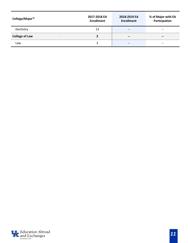| College/Major <sup>15</sup> | 2017-2018 EA<br><b>Enrollment</b> | 2018-2019 EA<br><b>Enrollment</b> | % of Major with EA<br>Participation |
|-----------------------------|-----------------------------------|-----------------------------------|-------------------------------------|
| Dentistry                   | 13                                | $- -$                             | --                                  |
| <b>College of Law</b>       |                                   | $- -$                             | --                                  |
|                             |                                   | $- -$                             | --                                  |

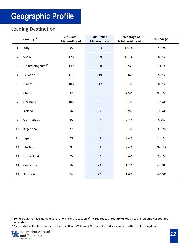#### <span id="page-13-1"></span><span id="page-13-0"></span>Leading Destination

|    | Country <sup>16</sup>        | 2017-2018<br><b>EA Enrollment</b> | 2018-2019<br><b>EA Enrollment</b> | Percentage of<br><b>Total Enrollment</b> | % Change |
|----|------------------------------|-----------------------------------|-----------------------------------|------------------------------------------|----------|
| 1. | Italy                        | 95                                | 163                               | 12.1%                                    | 71.6%    |
| 2. | Spain                        | 128                               | 139                               | 10.3%                                    | 8.6%     |
| 3. | United Kingdom <sup>17</sup> | 149                               | 128                               | 9.5%                                     | $-14.1%$ |
|    | 4. Ecuador                   | 113                               | 119                               | 8.8%                                     | 5.3%     |
| 5. | France                       | 108                               | 117                               | 8.7%                                     | 8.3%     |
| 6. | China                        | 32                                | 61                                | 4.5%                                     | 90.6%    |
|    | 7. Germany                   | 105                               | 50                                | 3.7%                                     | $-52.4%$ |
| 8. | Ireland                      | 56                                | 39                                | 2.9%                                     | $-30.4%$ |
|    | 9. South Africa              | 35                                | 37                                | 2.7%                                     | 5.7%     |
|    | 10. Argentina                | 27                                | 36                                | 2.7%                                     | 33.3%    |
|    | 11. Japan                    | 29                                | 33                                | 2.4%                                     | 13.8%    |
|    | 12. Thailand                 | 9                                 | 33                                | 2.4%                                     | 266.7%   |
|    | 13. Netherlands              | 25                                | 32                                | 2.4%                                     | 28.0%    |
|    | 14. Costa Rica               | 56                                | 23                                | 1.7%                                     | $-58.9%$ |
|    | 15. Australia                | 74                                | 22                                | 1.6%                                     | $-70.3%$ |

<span id="page-13-3"></span><sup>&</sup>lt;sup>17</sup> As reported in IIE Open Doors- England, Scotland, Wales and Northern Ireland are counted within United Kingdom.



<span id="page-13-2"></span><sup>&</sup>lt;sup>16</sup> Some programs have multiple destinations. For this section of the report, each country visited by such programs was counted separately.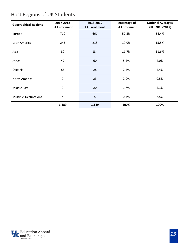## <span id="page-14-0"></span>Host Regions of UK Students

| <b>Geographical Regions</b>  | 2017-2018<br><b>EA Enrollment</b> | 2018-2019<br><b>EA Enrollment</b> | Percentage of<br><b>EA Enrollment</b> | <b>National Averages</b><br>(IIE, 2016-2017) |
|------------------------------|-----------------------------------|-----------------------------------|---------------------------------------|----------------------------------------------|
| Europe                       | 710                               | 661                               | 57.5%                                 | 54.4%                                        |
| Latin America                | 245                               | 218                               | 19.0%                                 | 15.5%                                        |
| Asia                         | 80                                | 134                               | 11.7%                                 |                                              |
| Africa                       | 47                                | 60                                | 5.2%                                  | 4.0%                                         |
| Oceania                      | 85                                | 28                                | 2.4%                                  | 4.4%                                         |
| North America                | 9                                 | 23                                | 2.0%                                  | 0.5%                                         |
| Middle East                  | 9                                 | 20                                | 1.7%                                  | 2.1%                                         |
| <b>Multiple Destinations</b> | 4                                 |                                   | 0.4%                                  | 7.5%                                         |
|                              | 1,189                             | 1,149                             | 100%                                  | 100%                                         |

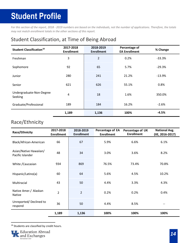# <span id="page-15-0"></span>**Student Profile**

*For this section of the report, 2018 - 2019 numbers are based on the individuals, not the number of applications. Therefore, the totals may not match enrollment totals in the other sections of this report.* 

#### <span id="page-15-1"></span>Student Classification, at Time of Being Abroad

| <b>Student Classification<sup>18</sup></b> | 2017-2018<br><b>Enrollment</b> | 2018-2019<br><b>Enrollment</b> | <b>Percentage of</b><br><b>EA Enrollment</b> | % Change |
|--------------------------------------------|--------------------------------|--------------------------------|----------------------------------------------|----------|
| Freshman                                   | 3                              |                                | 0.2%                                         | $-33.3%$ |
| Sophomore                                  | 92                             | 65                             | 5.7%                                         | $-29.3%$ |
| Junior                                     | 280                            | 241                            | 21.2%                                        | $-13.9%$ |
| Senior                                     | 621                            | 626                            | 55.1%                                        | 0.8%     |
| Undergraduate-Non-Degree<br>Seeking        | 4                              | 18                             | 1.6%                                         | 350.0%   |
| Graduate/Professional                      | 189                            | 184                            | 16.2%                                        | $-2.6%$  |
|                                            | 1,189                          | 1,136                          | 100%                                         | $-4.5%$  |

#### <span id="page-15-2"></span>Race/Ethnicity

| Race/Ethnicity                             | 2017-2018<br><b>Enrollment</b> | 2018-2019<br><b>Enrollment</b> | Percentage of EA<br><b>Enrollment</b> | Percentage of UK<br><b>Enrollment</b> | <b>National Avg.</b><br>(IIE, 2016-2017) |
|--------------------------------------------|--------------------------------|--------------------------------|---------------------------------------|---------------------------------------|------------------------------------------|
| Black/African-American                     | 66                             | 67                             | 5.9%                                  | 6.6%                                  | 6.1%                                     |
| Asian/Native Hawaiian/<br>Pacific Islander | 48                             | 34                             | 3.0%                                  | 3.6%                                  | 8.2%                                     |
| White / Caucasian                          | 934                            | 869                            | 76.5%                                 | 73.4%                                 | 70.8%                                    |
| Hispanic/Latino(a)                         | 60                             | 64                             | 5.6%                                  | 4.5%                                  | 10.2%                                    |
| Multiracial                                | 43                             | 50                             | 4.4%                                  | 3.3%                                  | 4.3%                                     |
| Native Amer./ Alaskan<br><b>Native</b>     | $\mathfrak{p}$                 | $\overline{2}$                 | 0.2%                                  | 0.2%                                  | 0.4%                                     |
| Unreported/Declined to<br>respond          | 36                             | 50                             | 4.4%                                  | 8.5%                                  |                                          |
|                                            | 1,189                          | 1,136                          | 100%                                  | 100%                                  | 100%                                     |

#### 18 Students are classified by credit hours.

<span id="page-15-3"></span>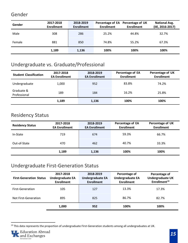#### <span id="page-16-0"></span>Gender

| Gender | 2017-2018<br><b>Enrollment</b> | 2018-2019<br><b>Enrollment</b> | <b>Enrollment</b> | Percentage of EA Percentage of UK<br><b>Enrollment</b> | <b>National Avg.</b><br>(IIE, 2016-2017) |
|--------|--------------------------------|--------------------------------|-------------------|--------------------------------------------------------|------------------------------------------|
| Male   | 308                            | 286                            | 25.2%             | 44.8%                                                  | 32.7%                                    |
| Female | 881                            | 850                            | 74.8%             | 55.2%                                                  | 67.3%                                    |
|        | 1,189                          | 1,136                          | 100%              | 100%                                                   | 100%                                     |

#### <span id="page-16-1"></span>Undergraduate vs. Graduate/Professional

| <b>Student Classification</b> | 2017-2018<br><b>EA Enrollment</b> | 2018-2019<br><b>EA Enrollment</b> | Percentage of EA<br><b>Enrollment</b> | Percentage of UK<br><b>Enrollment</b> |
|-------------------------------|-----------------------------------|-----------------------------------|---------------------------------------|---------------------------------------|
| Undergraduate                 | 1,000                             | 952                               | 83.8%                                 | 74.2%                                 |
| Graduate &<br>Professional    | 189                               | 184                               | 16.2%                                 | 25.8%                                 |
|                               | 1,189                             | 1,136                             | 100%                                  | 100%                                  |

#### <span id="page-16-2"></span>Residency Status

| 2017-2018<br><b>Residency Status</b><br><b>EA Enrollment</b> |       | 2018-2019<br><b>EA Enrollment</b> | Percentage of EA<br><b>Enrollment</b> | Percentage of UK<br><b>Enrollment</b> |
|--------------------------------------------------------------|-------|-----------------------------------|---------------------------------------|---------------------------------------|
| In-State                                                     | 719   | 674                               | 59.3%                                 | 66.7%                                 |
| Out-of-State                                                 | 470   | 462                               | 40.7%                                 | 33.3%                                 |
|                                                              | 1,189 | 1,136                             | 100%                                  | 100%                                  |

#### <span id="page-16-3"></span>Undergraduate First-Generation Status

| <b>First-Generation Status</b> | 2017-2018<br><b>Undergraduate EA</b><br><b>Enrollment</b> | 2018-2019<br><b>Undergraduate EA</b><br><b>Enrollment</b> | Percentage of<br><b>Undergraduate EA</b><br><b>Enrollment</b> | Percentage of<br><b>Undergraduate UK</b><br>Enrollment <sup>19</sup> |
|--------------------------------|-----------------------------------------------------------|-----------------------------------------------------------|---------------------------------------------------------------|----------------------------------------------------------------------|
| <b>First-Generation</b>        | 105                                                       | 127                                                       | 13.3%                                                         | 17.3%                                                                |
| Not First-Generation           | 895<br>825                                                |                                                           | 86.7%                                                         | 82.7%                                                                |
|                                | 1.000                                                     | 952                                                       | 100%                                                          | 100%                                                                 |

<span id="page-16-4"></span> $19$  This data represents the proportion of undergraduate First-Generation students among all undergraduates at UK.

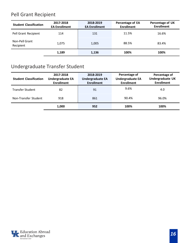## <span id="page-17-0"></span>Pell Grant Recipient

| <b>Student Classification</b> | 2017-2018<br><b>EA Enrollment</b> |       | Percentage of EA<br><b>Enrollment</b> | Percentage of UK<br><b>Enrollment</b> |
|-------------------------------|-----------------------------------|-------|---------------------------------------|---------------------------------------|
| Pell Grant Recipient          | 114                               | 131   | 11.5%                                 | 16.6%                                 |
| Non-Pell Grant<br>Recipient   | 1,075<br>1,005                    |       | 88.5%                                 | 83.4%                                 |
|                               | 1.189                             | 1.136 | 100%                                  | 100%                                  |

## <span id="page-17-1"></span>Undergraduate Transfer Student

| <b>Student Classification</b> | 2017-2018<br><b>Undergraduate EA</b><br><b>Enrollment</b> | 2018-2019<br><b>Undergraduate EA</b><br><b>Enrollment</b> | Percentage of<br><b>Undergraduate EA</b><br><b>Enrollment</b> | Percentage of<br>Undergraduate UK<br><b>Enrollment</b> |
|-------------------------------|-----------------------------------------------------------|-----------------------------------------------------------|---------------------------------------------------------------|--------------------------------------------------------|
| <b>Transfer Student</b>       | 82                                                        | 91                                                        | 9.6%                                                          | 4.0                                                    |
| Non-Transfer Student          | 918                                                       | 861                                                       | 90.4%                                                         | 96.0%                                                  |
|                               | 1,000                                                     | 952                                                       | 100%                                                          | 100%                                                   |

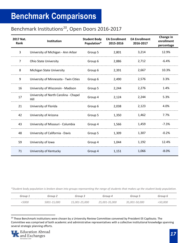## <span id="page-18-0"></span>**Benchmark Comparisons**

#### <span id="page-18-1"></span>Benchmark Institutions<sup>20</sup>, Open Doors 2016-2017

| 2017 Nat.<br>Rank | <b>Institution</b>                            | <b>Student Body</b><br>Population* | <b>EA Enrollment</b><br>2015-2016 | <b>EA Enrollment</b><br>2016-2017 | Change in<br>enrollment<br>percentage |
|-------------------|-----------------------------------------------|------------------------------------|-----------------------------------|-----------------------------------|---------------------------------------|
| 3                 | University of Michigan - Ann Arbor            | Group 5                            | 2,801                             | 3,214                             | 12.9%                                 |
| $\overline{7}$    | <b>Ohio State University</b>                  | Group 6                            | 2,886                             | 2,712                             | $-6.4%$                               |
| 8                 | <b>Michigan State University</b>              | Group 6                            | 2,391                             | 2,667                             | 10.3%                                 |
| 9                 | University of Minnesota - Twin Cities         | Group 6                            | 2,490                             | 2,576                             | 3.3%                                  |
| 16                | University of Wisconsin - Madison             | Group 5                            | 2,244                             | 2,276                             | 1.4%                                  |
| 17                | University of North Carolina - Chapel<br>Hill | Group 4                            | 2,124                             | 2,244                             | 5.3%                                  |
| 21                | University of Florida                         | Group 6                            | 2,038                             | 2,123                             | 4.0%                                  |
| 42                | University of Arizona                         | Group 5                            | 1,350                             | 1,462                             | 7.7%                                  |
| 43                | University of Missouri - Columbia             | Group 4                            | 1,566                             | 1,459                             | $-7.3%$                               |
| 48                | University of California - Davis              | Group 5                            | 1,309                             | 1,307                             | $-0.2%$                               |
| 59                | University of Iowa                            | Group 4                            | 1,044                             | 1,192                             | 12.4%                                 |
| 71                | University of Kentucky                        | Group 4                            | 1,151                             | 1,066                             | $-8.0%$                               |

*\*Student body population is broken down into groups representing the range of students that makes up the student body population.*

| <b>Group</b> | Group 2     | Group 3       | Group 4       | Group :       | Group 6 |
|--------------|-------------|---------------|---------------|---------------|---------|
| 5000         | 5001-15,000 | 15,001-25,000 | 25,001-35,000 | 35,001-50,000 | ,000    |

<span id="page-18-2"></span><sup>&</sup>lt;sup>20</sup> These Benchmark institutions were chosen by a University Review Committee convened by President Eli Capilouto. The Committee was comprised of both academic and administrative representatives with a collective institutional knowledge spanning several strategic planning efforts.

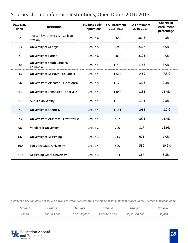| 2017 Nat.<br>Rank | Institution                                | <b>Student Body</b><br>Population* | <b>EA Enrollment</b><br>2015-2016 | <b>EA Enrollment</b><br>2016-2017 | Change in<br>enrollment<br>percentage |
|-------------------|--------------------------------------------|------------------------------------|-----------------------------------|-----------------------------------|---------------------------------------|
| $\overline{2}$    | Texas A&M University - College<br>Station  | Group 6                            | 3,683                             | 3848                              | 4.3%                                  |
| 13                | University of Georgia                      | Group 5                            | 2,248                             | 2317                              | 3.0%                                  |
| 21                | University of Florida                      | Group 6                            | 2,038                             | 2123                              | 4.0%                                  |
| 32                | University of South Carolina -<br>Columbia | Group 4                            | 1,713                             | 1766                              | 3.0%                                  |
| 43                | University of Missouri - Columbia          | Group 4                            | 1,566                             | 1459                              | $-7.3%$                               |
| 56                | University of Alabama - Tuscaloosa         | Group 5                            | 1,172                             | 1206                              | 2.8%                                  |
| 61                | University of Tennessee - Knoxville        | Group 4                            | 1,048                             | 1183                              | 11.4%                                 |
| 64                | <b>Auburn University</b>                   | Group 4                            | 1,114                             | 1143                              | 2.5%                                  |
| 71                | University of Kentucky                     | Group 4                            | 1,151                             | 1066                              | $-8.0%$                               |
| 73                | University of Arkansas - Fayetteville      | Group 4                            | 887                               | 1001                              | 11.4%                                 |
| 98                | Vanderbilt University                      | Group 2                            | 720                               | 817                               | 11.9%                                 |
| 132               | University of Mississippi                  | Group 3                            | 615                               | 621                               | 1.0%                                  |
| 160               | Louisiana State University                 | Group 4                            | 590                               | 532                               | $-10.9%$                              |
| 219               | Mississippi State University               | Group 3                            | 354                               | 387                               | 8.5%                                  |

#### <span id="page-19-0"></span>Southeastern Conference Institutions, Open Doors 2016-2017

*\*Student body population is broken down into groups representing the range of students that makes up the student body population.*

| Group       | <i><b>aroup</b></i> | <i><b>Group</b></i>    | <i>aroup 4</i>       | Group                       | Group 6       |
|-------------|---------------------|------------------------|----------------------|-----------------------------|---------------|
| <i>5000</i> | 5001-15,000         | $1.5,001 - 25$<br>,000 | 25,001-35<br>-35,000 | -50.000<br><i>35,001-50</i> | <i>50,000</i> |